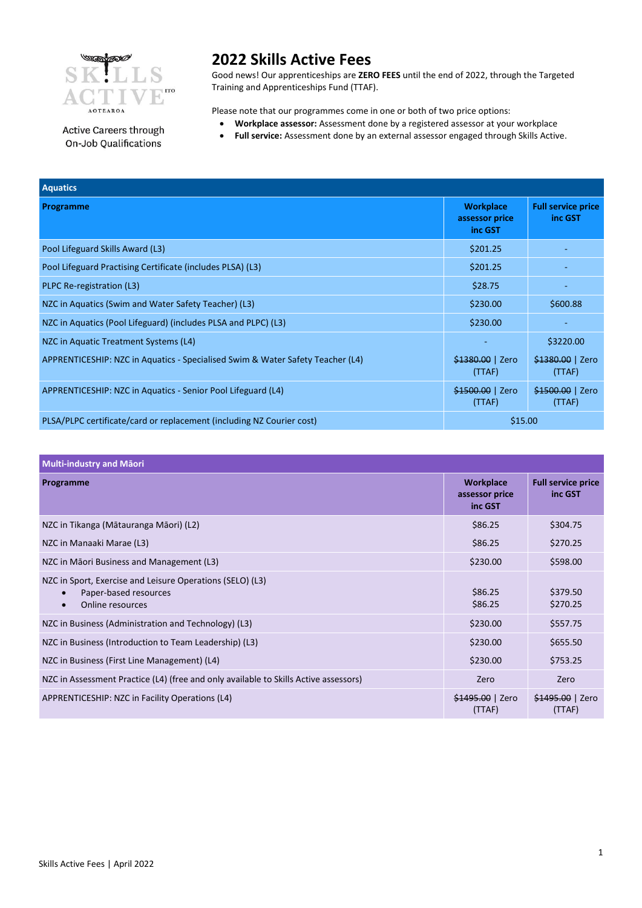

Active Careers through On-Job Qualifications

**2022 Skills Active Fees**

Good news! Our apprenticeships are **ZERO FEES** until the end of 2022, through the Targeted Training and Apprenticeships Fund (TTAF).

Please note that our programmes come in one or both of two price options:

- **Workplace assessor:** Assessment done by a registered assessor at your workplace
- **Full service:** Assessment done by an external assessor engaged through Skills Active.

| <b>Aquatics</b>                                                                |                                               |                                      |
|--------------------------------------------------------------------------------|-----------------------------------------------|--------------------------------------|
| Programme                                                                      | <b>Workplace</b><br>assessor price<br>inc GST | <b>Full service price</b><br>inc GST |
| Pool Lifeguard Skills Award (L3)                                               | \$201.25                                      |                                      |
| Pool Lifeguard Practising Certificate (includes PLSA) (L3)                     | \$201.25                                      |                                      |
| PLPC Re-registration (L3)                                                      | \$28.75                                       |                                      |
| NZC in Aquatics (Swim and Water Safety Teacher) (L3)                           | \$230.00                                      | \$600.88                             |
| NZC in Aquatics (Pool Lifeguard) (includes PLSA and PLPC) (L3)                 | \$230.00                                      |                                      |
| NZC in Aquatic Treatment Systems (L4)                                          | ٠                                             | \$3220.00                            |
| APPRENTICESHIP: NZC in Aquatics - Specialised Swim & Water Safety Teacher (L4) | \$1380.00   Zero<br>(TTAF)                    | \$1380.00   Zero<br>(TTAF)           |
| APPRENTICESHIP: NZC in Aquatics - Senior Pool Lifeguard (L4)                   | \$1500.00   Zero<br>(TTAF)                    | \$1500.00   Zero<br>(TTAF)           |
| PLSA/PLPC certificate/card or replacement (including NZ Courier cost)          | \$15.00                                       |                                      |

| <b>Multi-industry and Maori</b> |  |
|---------------------------------|--|
|---------------------------------|--|

| Programme                                                                                                                        | <b>Workplace</b><br>assessor price<br>inc GST | <b>Full service price</b><br>inc GST |
|----------------------------------------------------------------------------------------------------------------------------------|-----------------------------------------------|--------------------------------------|
| NZC in Tikanga (Mātauranga Māori) (L2)                                                                                           | \$86.25                                       | \$304.75                             |
| NZC in Manaaki Marae (L3)                                                                                                        | \$86.25                                       | \$270.25                             |
| NZC in Māori Business and Management (L3)                                                                                        | \$230.00                                      | \$598.00                             |
| NZC in Sport, Exercise and Leisure Operations (SELO) (L3)<br>Paper-based resources<br>$\bullet$<br>Online resources<br>$\bullet$ | \$86.25<br>\$86.25                            | \$379.50<br>\$270.25                 |
| NZC in Business (Administration and Technology) (L3)                                                                             | \$230.00                                      | \$557.75                             |
| NZC in Business (Introduction to Team Leadership) (L3)                                                                           | \$230.00                                      | \$655.50                             |
| NZC in Business (First Line Management) (L4)                                                                                     | \$230.00                                      | \$753.25                             |
| NZC in Assessment Practice (L4) (free and only available to Skills Active assessors)                                             | Zero                                          | Zero                                 |
| APPRENTICESHIP: NZC in Facility Operations (L4)                                                                                  | \$1495.00   Zero<br>(TTAF)                    | \$1495.00   Zero<br>(TTAF)           |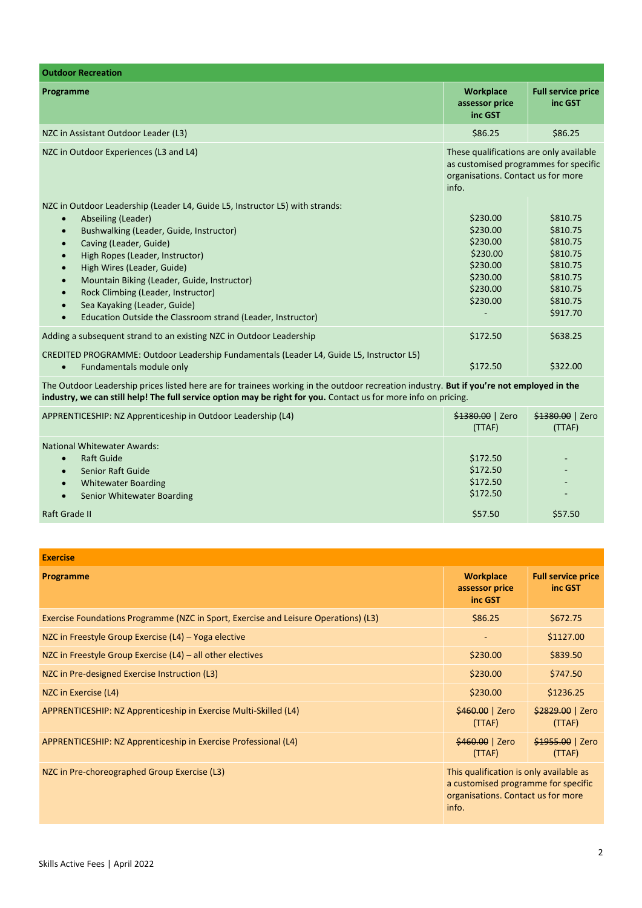| <b>Outdoor Recreation</b>                                                                                                                                                                                                                                                                                                                                                                                                                                                                                                            |                                                                                                                                 |                                                                                                          |
|--------------------------------------------------------------------------------------------------------------------------------------------------------------------------------------------------------------------------------------------------------------------------------------------------------------------------------------------------------------------------------------------------------------------------------------------------------------------------------------------------------------------------------------|---------------------------------------------------------------------------------------------------------------------------------|----------------------------------------------------------------------------------------------------------|
| Programme                                                                                                                                                                                                                                                                                                                                                                                                                                                                                                                            | <b>Workplace</b><br>assessor price<br>inc GST                                                                                   | <b>Full service price</b><br>inc GST                                                                     |
| NZC in Assistant Outdoor Leader (L3)                                                                                                                                                                                                                                                                                                                                                                                                                                                                                                 | \$86.25                                                                                                                         | \$86.25                                                                                                  |
| NZC in Outdoor Experiences (L3 and L4)                                                                                                                                                                                                                                                                                                                                                                                                                                                                                               | These qualifications are only available<br>as customised programmes for specific<br>organisations. Contact us for more<br>info. |                                                                                                          |
| NZC in Outdoor Leadership (Leader L4, Guide L5, Instructor L5) with strands:<br>Abseiling (Leader)<br>$\bullet$<br>Bushwalking (Leader, Guide, Instructor)<br>$\bullet$<br>Caving (Leader, Guide)<br>$\bullet$<br>High Ropes (Leader, Instructor)<br>$\bullet$<br>High Wires (Leader, Guide)<br>$\bullet$<br>Mountain Biking (Leader, Guide, Instructor)<br>$\bullet$<br>Rock Climbing (Leader, Instructor)<br>$\bullet$<br>Sea Kayaking (Leader, Guide)<br>$\bullet$<br>Education Outside the Classroom strand (Leader, Instructor) | \$230.00<br>\$230.00<br>\$230.00<br>\$230.00<br>\$230.00<br>\$230.00<br>\$230.00<br>\$230.00                                    | \$810.75<br>\$810.75<br>\$810.75<br>\$810.75<br>\$810.75<br>\$810.75<br>\$810.75<br>\$810.75<br>\$917.70 |
| Adding a subsequent strand to an existing NZC in Outdoor Leadership                                                                                                                                                                                                                                                                                                                                                                                                                                                                  | \$172.50                                                                                                                        | \$638.25                                                                                                 |
| CREDITED PROGRAMME: Outdoor Leadership Fundamentals (Leader L4, Guide L5, Instructor L5)<br>Fundamentals module only<br>$\bullet$                                                                                                                                                                                                                                                                                                                                                                                                    | \$172.50                                                                                                                        | \$322.00                                                                                                 |

The Outdoor Leadership prices listed here are for trainees working in the outdoor recreation industry. **But if you're not employed in the industry, we can still help! The full service option may be right for you.** Contact us for more info on pricing.

| APPRENTICESHIP: NZ Apprenticeship in Outdoor Leadership (L4)                                                                                                                                        | \$1380.00   Zero<br>(TTAF)                   | \$1380.00   Zero<br>(TTAF) |
|-----------------------------------------------------------------------------------------------------------------------------------------------------------------------------------------------------|----------------------------------------------|----------------------------|
| <b>National Whitewater Awards:</b><br><b>Raft Guide</b><br>$\bullet$<br><b>Senior Raft Guide</b><br>$\bullet$<br><b>Whitewater Boarding</b><br>$\bullet$<br>Senior Whitewater Boarding<br>$\bullet$ | \$172.50<br>\$172.50<br>\$172.50<br>\$172.50 | $\overline{\phantom{a}}$   |
| Raft Grade II                                                                                                                                                                                       | \$57.50                                      | \$57.50                    |

| <b>Exercise</b>                                                                     |                                                                                                                               |                                      |
|-------------------------------------------------------------------------------------|-------------------------------------------------------------------------------------------------------------------------------|--------------------------------------|
| Programme                                                                           | <b>Workplace</b><br>assessor price<br>inc GST                                                                                 | <b>Full service price</b><br>inc GST |
| Exercise Foundations Programme (NZC in Sport, Exercise and Leisure Operations) (L3) | \$86.25                                                                                                                       | \$672.75                             |
| NZC in Freestyle Group Exercise $(L4)$ – Yoga elective                              | ٠                                                                                                                             | \$1127.00                            |
| NZC in Freestyle Group Exercise $(L4)$ – all other electives                        | \$230.00                                                                                                                      | \$839.50                             |
| NZC in Pre-designed Exercise Instruction (L3)                                       | \$230.00                                                                                                                      | \$747.50                             |
| NZC in Exercise (L4)                                                                | \$230.00                                                                                                                      | \$1236.25                            |
| APPRENTICESHIP: NZ Apprenticeship in Exercise Multi-Skilled (L4)                    | \$460.00   Zero<br>(TTAF)                                                                                                     | \$2829.00   Zero<br>(TTAF)           |
| APPRENTICESHIP: NZ Apprenticeship in Exercise Professional (L4)                     | \$460.00   Zero<br>(TTAF)                                                                                                     | \$1955.00   Zero<br>(TTAF)           |
| NZC in Pre-choreographed Group Exercise (L3)                                        | This qualification is only available as<br>a customised programme for specific<br>organisations. Contact us for more<br>info. |                                      |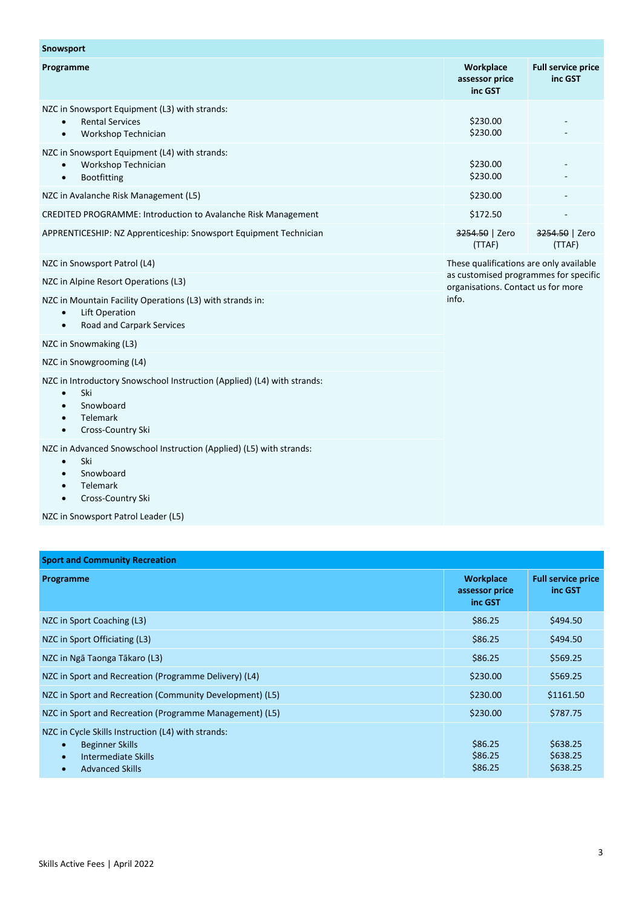| <b>Snowsport</b>                                                                                                                                                                 |                                                                                      |                                      |
|----------------------------------------------------------------------------------------------------------------------------------------------------------------------------------|--------------------------------------------------------------------------------------|--------------------------------------|
| Programme                                                                                                                                                                        | Workplace<br>assessor price<br>inc GST                                               | <b>Full service price</b><br>inc GST |
| NZC in Snowsport Equipment (L3) with strands:<br><b>Rental Services</b><br>$\bullet$<br>Workshop Technician<br>$\bullet$                                                         | \$230.00<br>\$230.00                                                                 |                                      |
| NZC in Snowsport Equipment (L4) with strands:<br>Workshop Technician<br>Bootfitting<br>$\bullet$                                                                                 | \$230.00<br>\$230.00                                                                 |                                      |
| NZC in Avalanche Risk Management (L5)                                                                                                                                            | \$230.00                                                                             |                                      |
| CREDITED PROGRAMME: Introduction to Avalanche Risk Management                                                                                                                    | \$172.50                                                                             |                                      |
| APPRENTICESHIP: NZ Apprenticeship: Snowsport Equipment Technician                                                                                                                | 3254.50   Zero<br>(TTAF)                                                             | 3254.50   Zero<br>(TTAF)             |
| NZC in Snowsport Patrol (L4)                                                                                                                                                     | These qualifications are only available                                              |                                      |
| NZC in Alpine Resort Operations (L3)                                                                                                                                             | as customised programmes for specific<br>organisations. Contact us for more<br>info. |                                      |
| NZC in Mountain Facility Operations (L3) with strands in:<br><b>Lift Operation</b><br>$\bullet$<br>Road and Carpark Services<br>$\bullet$                                        |                                                                                      |                                      |
| NZC in Snowmaking (L3)                                                                                                                                                           |                                                                                      |                                      |
| NZC in Snowgrooming (L4)                                                                                                                                                         |                                                                                      |                                      |
| NZC in Introductory Snowschool Instruction (Applied) (L4) with strands:<br>Ski<br>$\bullet$<br>Snowboard<br>$\bullet$<br>Telemark<br>$\bullet$<br>Cross-Country Ski<br>$\bullet$ |                                                                                      |                                      |
| NZC in Advanced Snowschool Instruction (Applied) (L5) with strands:<br>Ski<br>$\bullet$<br>Snowboard<br>$\bullet$<br>Telemark<br>$\bullet$<br>Cross-Country Ski<br>$\bullet$     |                                                                                      |                                      |
| NZC in Snowsport Patrol Leader (L5)                                                                                                                                              |                                                                                      |                                      |

| <b>Sport and Community Recreation</b>                                                                                                                                |                                               |                                      |
|----------------------------------------------------------------------------------------------------------------------------------------------------------------------|-----------------------------------------------|--------------------------------------|
| Programme                                                                                                                                                            | <b>Workplace</b><br>assessor price<br>inc GST | <b>Full service price</b><br>inc GST |
| NZC in Sport Coaching (L3)                                                                                                                                           | \$86.25                                       | \$494.50                             |
| NZC in Sport Officiating (L3)                                                                                                                                        | \$86.25                                       | \$494.50                             |
| NZC in Ngā Taonga Tākaro (L3)                                                                                                                                        | \$86.25                                       | \$569.25                             |
| NZC in Sport and Recreation (Programme Delivery) (L4)                                                                                                                | \$230.00                                      | \$569.25                             |
| NZC in Sport and Recreation (Community Development) (L5)                                                                                                             | \$230.00                                      | \$1161.50                            |
| NZC in Sport and Recreation (Programme Management) (L5)                                                                                                              | \$230.00                                      | \$787.75                             |
| NZC in Cycle Skills Instruction (L4) with strands:<br><b>Beginner Skills</b><br>$\bullet$<br>Intermediate Skills<br>$\bullet$<br><b>Advanced Skills</b><br>$\bullet$ | \$86.25<br>\$86.25<br>\$86.25                 | \$638.25<br>\$638.25<br>\$638.25     |